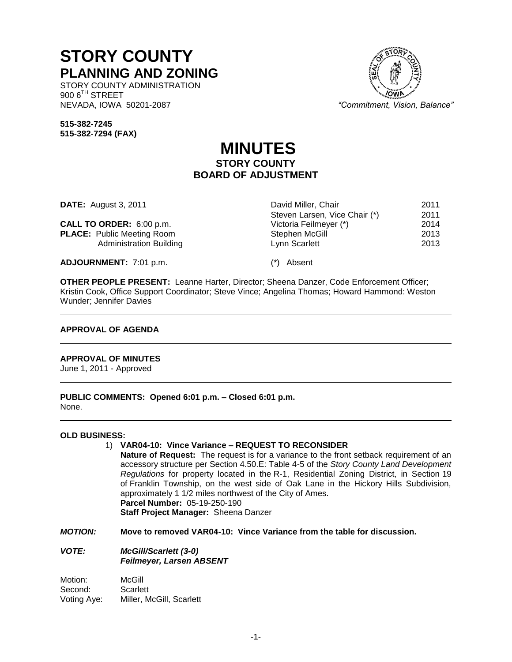# **STORY COUNTY PLANNING AND ZONING**

STORY COUNTY ADMINISTRATION 900 6<sup>TH</sup> STREET<br>NEVADA, IOWA 50201-2087

"Commitment, Vision, Balance"

Steven Larsen, Vice Chair (\*) 2011<br>Victoria Feilmeyer (\*) 2014

**515-382-7245 515-382-7294 (FAX)**

# **MINUTES STORY COUNTY BOARD OF ADJUSTMENT**

**DATE:** August 3, 2011 **David Miller, Chair** 2011

**CALL TO ORDER:** 6:00 p.m. Victoria Feilmeyer (\*) 2014 **PLACE:** Public Meeting Room **Stephen McGill** 2013<br>Administration Building **Stephen McGill** 2013 Administration Building **Lynn Scarlett** 2013

**ADJOURNMENT:** 7:01 p.m. (\*) Absent

**OTHER PEOPLE PRESENT:** Leanne Harter, Director; Sheena Danzer, Code Enforcement Officer; Kristin Cook, Office Support Coordinator; Steve Vince; Angelina Thomas; Howard Hammond: Weston Wunder; Jennifer Davies

# **APPROVAL OF AGENDA**

# **APPROVAL OF MINUTES**

June 1, 2011 - Approved

**PUBLIC COMMENTS: Opened 6:01 p.m. – Closed 6:01 p.m.** None.

## **OLD BUSINESS:**

# 1) **VAR04-10: Vince Variance – REQUEST TO RECONSIDER**

**Nature of Request:** The request is for a variance to the front setback requirement of an accessory structure per Section 4.50.E: Table 4-5 of the *Story County Land Development Regulations* for property located in the R-1, Residential Zoning District, in Section 19 of Franklin Township, on the west side of Oak Lane in the Hickory Hills Subdivision, approximately 1 1/2 miles northwest of the City of Ames. **Parcel Number:** 05-19-250-190

**Staff Project Manager:** Sheena Danzer

*MOTION:* **Move to removed VAR04-10: Vince Variance from the table for discussion.**

# *VOTE: McGill/Scarlett (3-0) Feilmeyer, Larsen ABSENT*

Motion: McGill Second: Scarlett Voting Aye: Miller, McGill, Scarlett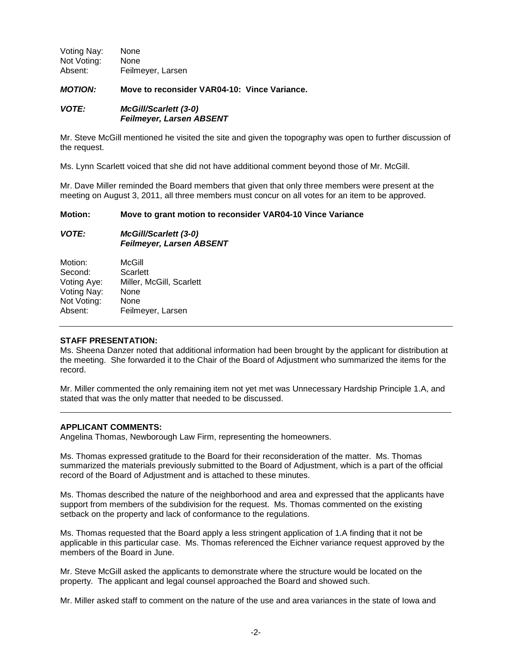Voting Nay: None Not Voting: None Absent: Feilmeyer, Larsen

*MOTION:* **Move to reconsider VAR04-10: Vince Variance.**

# *VOTE: McGill/Scarlett (3-0) Feilmeyer, Larsen ABSENT*

Mr. Steve McGill mentioned he visited the site and given the topography was open to further discussion of the request.

Ms. Lynn Scarlett voiced that she did not have additional comment beyond those of Mr. McGill.

Mr. Dave Miller reminded the Board members that given that only three members were present at the meeting on August 3, 2011, all three members must concur on all votes for an item to be approved.

# **Motion: Move to grant motion to reconsider VAR04-10 Vince Variance**

# *VOTE: McGill/Scarlett (3-0) Feilmeyer, Larsen ABSENT*

Motion: McGill Second: Scarlett Voting Aye: Miller, McGill, Scarlett Voting Nay: None Not Voting: None Absent: Feilmeyer, Larsen

## **STAFF PRESENTATION:**

Ms. Sheena Danzer noted that additional information had been brought by the applicant for distribution at the meeting. She forwarded it to the Chair of the Board of Adjustment who summarized the items for the record.

Mr. Miller commented the only remaining item not yet met was Unnecessary Hardship Principle 1.A, and stated that was the only matter that needed to be discussed.

# **APPLICANT COMMENTS:**

Angelina Thomas, Newborough Law Firm, representing the homeowners.

Ms. Thomas expressed gratitude to the Board for their reconsideration of the matter. Ms. Thomas summarized the materials previously submitted to the Board of Adjustment, which is a part of the official record of the Board of Adjustment and is attached to these minutes.

Ms. Thomas described the nature of the neighborhood and area and expressed that the applicants have support from members of the subdivision for the request. Ms. Thomas commented on the existing setback on the property and lack of conformance to the regulations.

Ms. Thomas requested that the Board apply a less stringent application of 1.A finding that it not be applicable in this particular case. Ms. Thomas referenced the Eichner variance request approved by the members of the Board in June.

Mr. Steve McGill asked the applicants to demonstrate where the structure would be located on the property. The applicant and legal counsel approached the Board and showed such.

Mr. Miller asked staff to comment on the nature of the use and area variances in the state of Iowa and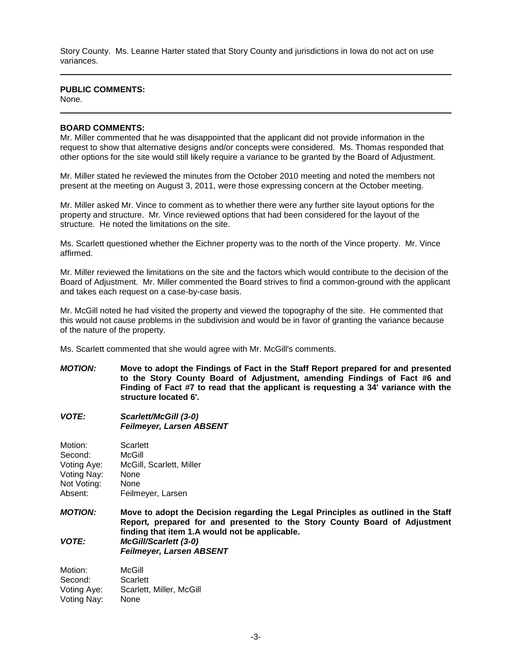Story County. Ms. Leanne Harter stated that Story County and jurisdictions in Iowa do not act on use variances.

## **PUBLIC COMMENTS:**

None.

#### **BOARD COMMENTS:**

Mr. Miller commented that he was disappointed that the applicant did not provide information in the request to show that alternative designs and/or concepts were considered. Ms. Thomas responded that other options for the site would still likely require a variance to be granted by the Board of Adjustment.

Mr. Miller stated he reviewed the minutes from the October 2010 meeting and noted the members not present at the meeting on August 3, 2011, were those expressing concern at the October meeting.

Mr. Miller asked Mr. Vince to comment as to whether there were any further site layout options for the property and structure. Mr. Vince reviewed options that had been considered for the layout of the structure. He noted the limitations on the site.

Ms. Scarlett questioned whether the Eichner property was to the north of the Vince property. Mr. Vince affirmed.

Mr. Miller reviewed the limitations on the site and the factors which would contribute to the decision of the Board of Adjustment. Mr. Miller commented the Board strives to find a common-ground with the applicant and takes each request on a case-by-case basis.

Mr. McGill noted he had visited the property and viewed the topography of the site. He commented that this would not cause problems in the subdivision and would be in favor of granting the variance because of the nature of the property.

Ms. Scarlett commented that she would agree with Mr. McGill's comments.

- *MOTION:* **Move to adopt the Findings of Fact in the Staff Report prepared for and presented to the Story County Board of Adjustment, amending Findings of Fact #6 and Finding of Fact #7 to read that the applicant is requesting a 34' variance with the structure located 6'.**
- *VOTE: Scarlett/McGill (3-0) Feilmeyer, Larsen ABSENT*

Motion: Scarlett Second: McGill Voting Aye: McGill, Scarlett, Miller Voting Nay: None Not Voting: None Absent: Feilmeyer, Larsen

*MOTION:* **Move to adopt the Decision regarding the Legal Principles as outlined in the Staff Report***,* **prepared for and presented to the Story County Board of Adjustment finding that item 1.A would not be applicable.** *VOTE: McGill/Scarlett (3-0) Feilmeyer, Larsen ABSENT*

Motion: McGill Second: Scarlett Voting Aye: Scarlett, Miller, McGill Voting Nay: None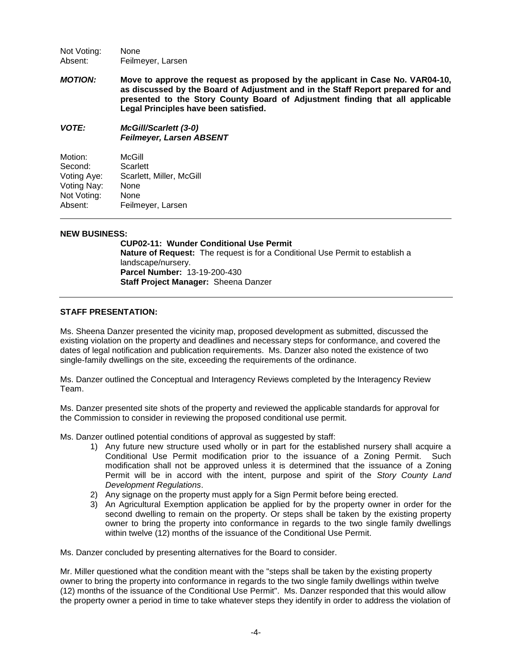Not Voting: None Absent: Feilmeyer, Larsen

*MOTION:* **Move to approve the request as proposed by the applicant in Case No. VAR04-10, as discussed by the Board of Adjustment and in the Staff Report prepared for and presented to the Story County Board of Adjustment finding that all applicable Legal Principles have been satisfied.** 

*VOTE: McGill/Scarlett (3-0) Feilmeyer, Larsen ABSENT*

| Motion:     | McGill                   |
|-------------|--------------------------|
| Second:     | Scarlett                 |
| Voting Aye: | Scarlett, Miller, McGill |
| Voting Nay: | None                     |
| Not Voting: | None                     |
| Absent:     | Feilmeyer, Larsen        |

# **NEW BUSINESS:**

**CUP02-11: Wunder Conditional Use Permit Nature of Request:** The request is for a Conditional Use Permit to establish a landscape/nursery. **Parcel Number:** 13-19-200-430 **Staff Project Manager:** Sheena Danzer

# **STAFF PRESENTATION:**

Ms. Sheena Danzer presented the vicinity map, proposed development as submitted, discussed the existing violation on the property and deadlines and necessary steps for conformance, and covered the dates of legal notification and publication requirements. Ms. Danzer also noted the existence of two single-family dwellings on the site, exceeding the requirements of the ordinance.

Ms. Danzer outlined the Conceptual and Interagency Reviews completed by the Interagency Review Team.

Ms. Danzer presented site shots of the property and reviewed the applicable standards for approval for the Commission to consider in reviewing the proposed conditional use permit.

Ms. Danzer outlined potential conditions of approval as suggested by staff:

- 1) Any future new structure used wholly or in part for the established nursery shall acquire a Conditional Use Permit modification prior to the issuance of a Zoning Permit. Such modification shall not be approved unless it is determined that the issuance of a Zoning Permit will be in accord with the intent, purpose and spirit of the *Story County Land Development Regulations*.
- 2) Any signage on the property must apply for a Sign Permit before being erected.
- 3) An Agricultural Exemption application be applied for by the property owner in order for the second dwelling to remain on the property. Or steps shall be taken by the existing property owner to bring the property into conformance in regards to the two single family dwellings within twelve (12) months of the issuance of the Conditional Use Permit.

Ms. Danzer concluded by presenting alternatives for the Board to consider.

Mr. Miller questioned what the condition meant with the "steps shall be taken by the existing property owner to bring the property into conformance in regards to the two single family dwellings within twelve (12) months of the issuance of the Conditional Use Permit". Ms. Danzer responded that this would allow the property owner a period in time to take whatever steps they identify in order to address the violation of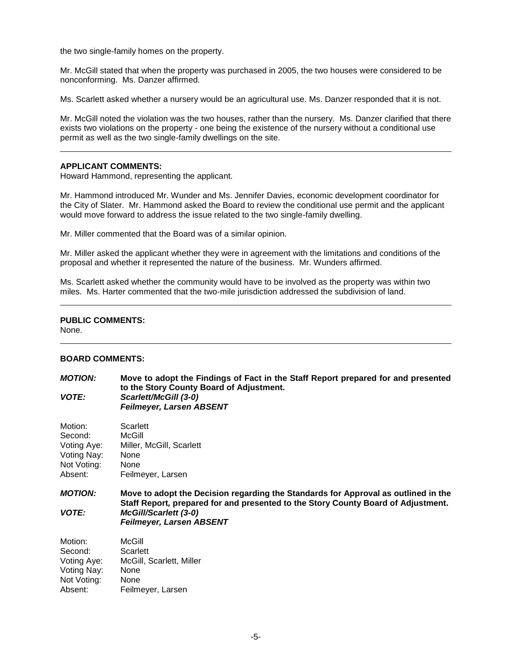the two single-family homes on the property.

Mr. McGill stated that when the property was purchased in 2005, the two houses were considered to be nonconforming. Ms. Danzer affirmed.

Ms. Scarlett asked whether a nursery would be an agricultural use. Ms. Danzer responded that it is not.

Mr. McGill noted the violation was the two houses, rather than the nursery. Ms. Danzer clarified that there exists two violations on the property - one being the existence of the nursery without a conditional use permit as well as the two single-family dwellings on the site.

## **APPLICANT COMMENTS:**

Howard Hammond, representing the applicant.

Mr. Hammond introduced Mr. Wunder and Ms. Jennifer Davies, economic development coordinator for the City of Slater. Mr. Hammond asked the Board to review the conditional use permit and the applicant would move forward to address the issue related to the two single-family dwelling.

Mr. Miller commented that the Board was of a similar opinion.

Mr. Miller asked the applicant whether they were in agreement with the limitations and conditions of the proposal and whether it represented the nature of the business. Mr. Wunders affirmed.

Ms. Scarlett asked whether the community would have to be involved as the property was within two miles. Ms. Harter commented that the two-mile jurisdiction addressed the subdivision of land.

# **PUBLIC COMMENTS:**

None.

## **BOARD COMMENTS:**

| <b>MOTION:</b><br><b>VOTE:</b> | Move to adopt the Findings of Fact in the Staff Report prepared for and presented<br>to the Story County Board of Adjustment.<br>Scarlett/McGill (3-0)<br><b>Feilmeyer, Larsen ABSENT</b> |  |
|--------------------------------|-------------------------------------------------------------------------------------------------------------------------------------------------------------------------------------------|--|
| Motion:                        | Scarlett                                                                                                                                                                                  |  |
| Second:                        | McGill                                                                                                                                                                                    |  |
| Voting Aye:                    | Miller, McGill, Scarlett                                                                                                                                                                  |  |
| Voting Nay:<br>Not Voting:     | None<br>None                                                                                                                                                                              |  |
| Absent:                        | Feilmeyer, Larsen                                                                                                                                                                         |  |
| <b>MOTION:</b>                 | Move to adopt the Decision regarding the Standards for Approval as outlined in the<br>Staff Report, prepared for and presented to the Story County Board of Adjustment.                   |  |
| <b>VOTE:</b>                   | <b>McGill/Scarlett (3-0)</b><br><b>Feilmeyer, Larsen ABSENT</b>                                                                                                                           |  |
| Motion:                        | McGill                                                                                                                                                                                    |  |
| Second:                        | Scarlett                                                                                                                                                                                  |  |
| Voting Aye:                    | McGill, Scarlett, Miller                                                                                                                                                                  |  |
| Voting Nay:                    | None                                                                                                                                                                                      |  |
| Not Voting:                    | None                                                                                                                                                                                      |  |
| Absent:                        | Feilmeyer, Larsen                                                                                                                                                                         |  |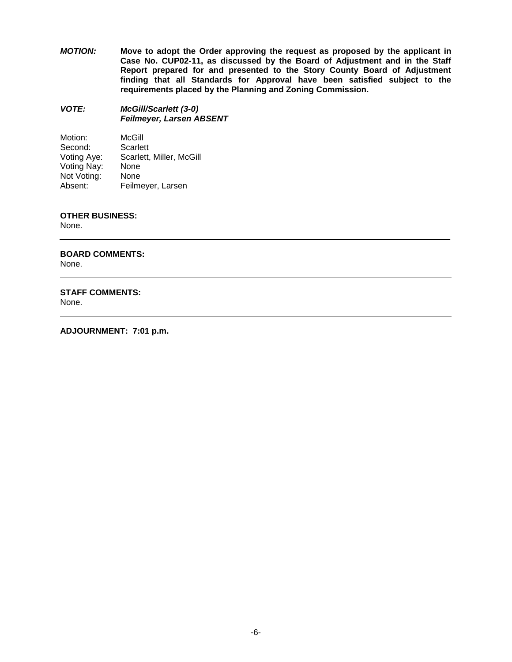*MOTION:* **Move to adopt the Order approving the request as proposed by the applicant in Case No. CUP02-11, as discussed by the Board of Adjustment and in the Staff Report prepared for and presented to the Story County Board of Adjustment finding that all Standards for Approval have been satisfied subject to the requirements placed by the Planning and Zoning Commission.**

*VOTE: McGill/Scarlett (3-0) Feilmeyer, Larsen ABSENT*

| Motion:     | McGill                   |
|-------------|--------------------------|
| Second:     | Scarlett                 |
| Voting Aye: | Scarlett, Miller, McGill |
| Voting Nay: | None                     |
| Not Voting: | None                     |
| Absent:     | Feilmeyer, Larsen        |

## **OTHER BUSINESS:**

None.

**BOARD COMMENTS:**

None.

# **STAFF COMMENTS:**

None.

**ADJOURNMENT: 7:01 p.m.**